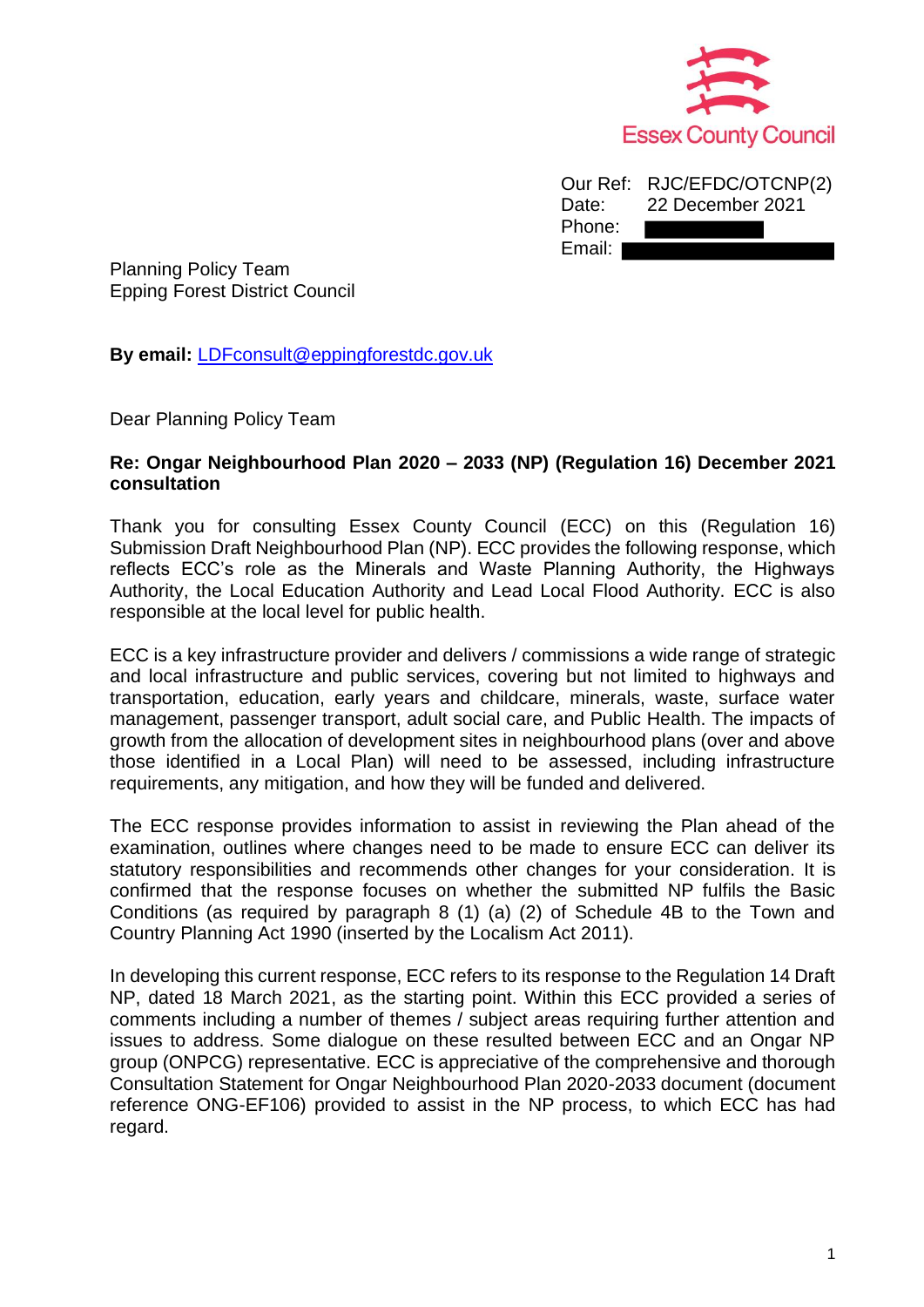

|        | Our Ref: RJC/EFDC/OTCNP(2) |
|--------|----------------------------|
| Date:  | 22 December 2021           |
| Phone: |                            |
| Email: |                            |

Planning Policy Team Epping Forest District Council

**By email:** [LDFconsult@eppingforestdc.gov.uk](mailto:LDFconsult@eppingforestdc.gov.uk)

Dear Planning Policy Team

#### **Re: Ongar Neighbourhood Plan 2020 – 2033 (NP) (Regulation 16) December 2021 consultation**

Thank you for consulting Essex County Council (ECC) on this (Regulation 16) Submission Draft Neighbourhood Plan (NP). ECC provides the following response, which reflects ECC's role as the Minerals and Waste Planning Authority, the Highways Authority, the Local Education Authority and Lead Local Flood Authority. ECC is also responsible at the local level for public health.

ECC is a key infrastructure provider and delivers / commissions a wide range of strategic and local infrastructure and public services, covering but not limited to highways and transportation, education, early years and childcare, minerals, waste, surface water management, passenger transport, adult social care, and Public Health. The impacts of growth from the allocation of development sites in neighbourhood plans (over and above those identified in a Local Plan) will need to be assessed, including infrastructure requirements, any mitigation, and how they will be funded and delivered.

The ECC response provides information to assist in reviewing the Plan ahead of the examination, outlines where changes need to be made to ensure ECC can deliver its statutory responsibilities and recommends other changes for your consideration. It is confirmed that the response focuses on whether the submitted NP fulfils the Basic Conditions (as required by paragraph 8 (1) (a) (2) of Schedule 4B to the Town and Country Planning Act 1990 (inserted by the Localism Act 2011).

In developing this current response, ECC refers to its response to the Regulation 14 Draft NP, dated 18 March 2021, as the starting point. Within this ECC provided a series of comments including a number of themes / subject areas requiring further attention and issues to address. Some dialogue on these resulted between ECC and an Ongar NP group (ONPCG) representative. ECC is appreciative of the comprehensive and thorough Consultation Statement for Ongar Neighbourhood Plan 2020-2033 document (document reference ONG-EF106) provided to assist in the NP process, to which ECC has had regard.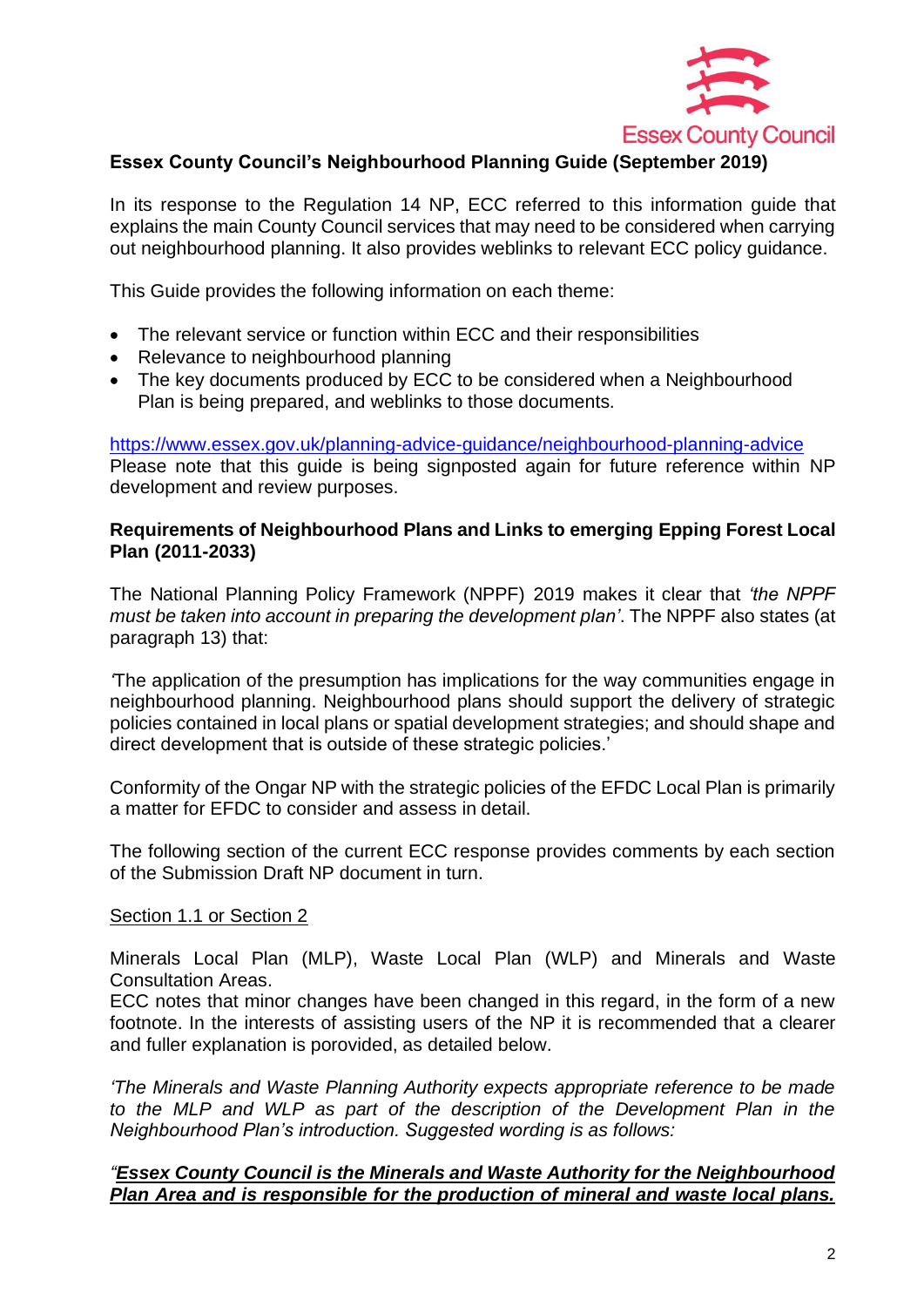

### **Essex County Council's Neighbourhood Planning Guide (September 2019)**

In its response to the Regulation 14 NP, ECC referred to this information guide that explains the main County Council services that may need to be considered when carrying out neighbourhood planning. It also provides weblinks to relevant ECC policy guidance.

This Guide provides the following information on each theme:

- The relevant service or function within ECC and their responsibilities
- Relevance to neighbourhood planning
- The key documents produced by ECC to be considered when a Neighbourhood Plan is being prepared, and weblinks to those documents.

<https://www.essex.gov.uk/planning-advice-guidance/neighbourhood-planning-advice> Please note that this guide is being signposted again for future reference within NP development and review purposes.

### **Requirements of Neighbourhood Plans and Links to emerging Epping Forest Local Plan (2011-2033)**

The National Planning Policy Framework (NPPF) 2019 makes it clear that *'the NPPF must be taken into account in preparing the development plan'*. The NPPF also states (at paragraph 13) that:

*'*The application of the presumption has implications for the way communities engage in neighbourhood planning. Neighbourhood plans should support the delivery of strategic policies contained in local plans or spatial development strategies; and should shape and direct development that is outside of these strategic policies.'

Conformity of the Ongar NP with the strategic policies of the EFDC Local Plan is primarily a matter for EFDC to consider and assess in detail.

The following section of the current ECC response provides comments by each section of the Submission Draft NP document in turn.

### Section 1.1 or Section 2

Minerals Local Plan (MLP), Waste Local Plan (WLP) and Minerals and Waste Consultation Areas.

ECC notes that minor changes have been changed in this regard, in the form of a new footnote. In the interests of assisting users of the NP it is recommended that a clearer and fuller explanation is porovided, as detailed below.

*'The Minerals and Waste Planning Authority expects appropriate reference to be made to the MLP and WLP as part of the description of the Development Plan in the Neighbourhood Plan's introduction. Suggested wording is as follows:*

### *"Essex County Council is the Minerals and Waste Authority for the Neighbourhood Plan Area and is responsible for the production of mineral and waste local plans.*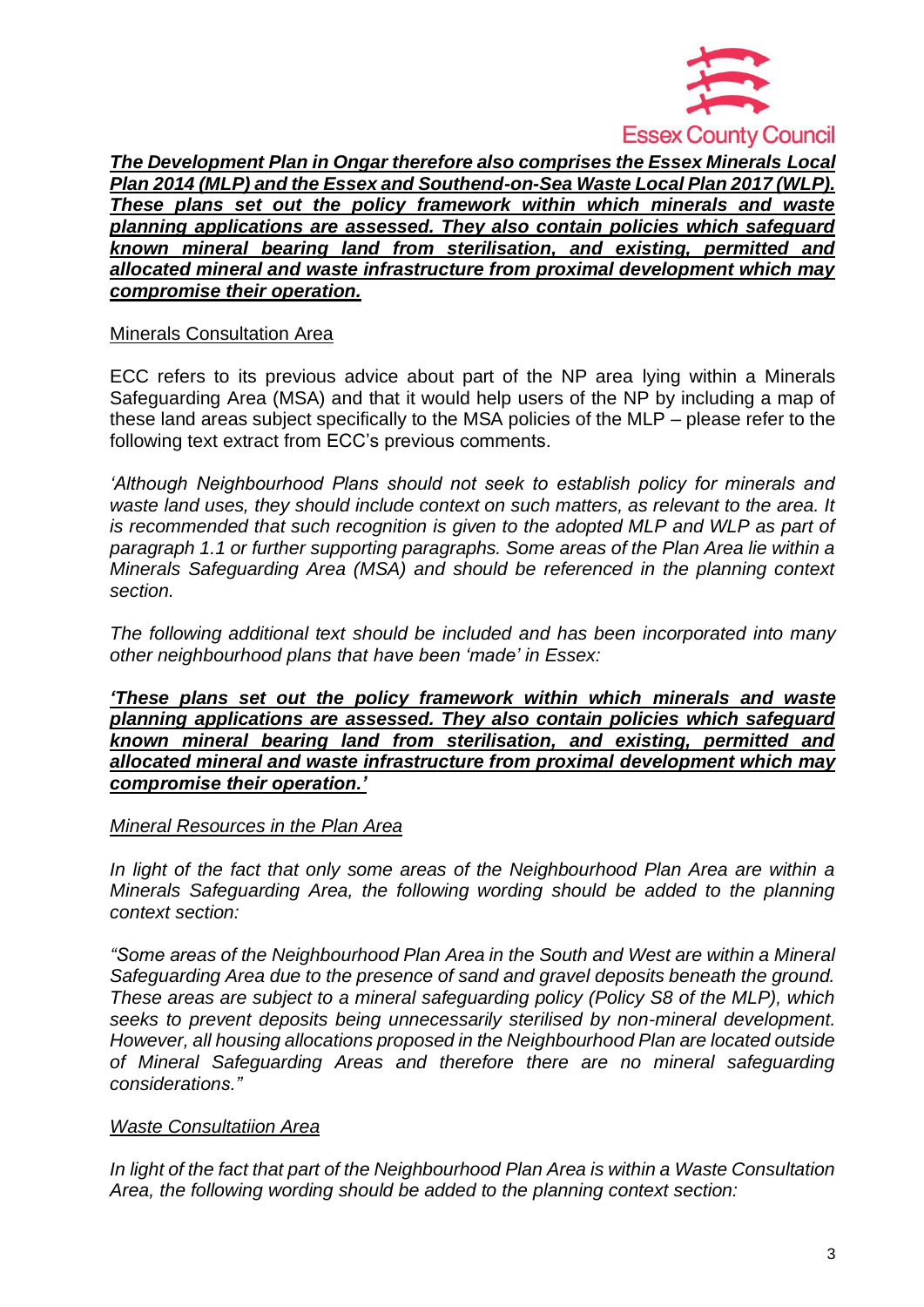

*The Development Plan in Ongar therefore also comprises the Essex Minerals Local Plan 2014 (MLP) and the Essex and Southend-on-Sea Waste Local Plan 2017 (WLP). These plans set out the policy framework within which minerals and waste planning applications are assessed. They also contain policies which safeguard known mineral bearing land from sterilisation, and existing, permitted and allocated mineral and waste infrastructure from proximal development which may compromise their operation.*

### Minerals Consultation Area

ECC refers to its previous advice about part of the NP area lying within a Minerals Safeguarding Area (MSA) and that it would help users of the NP by including a map of these land areas subject specifically to the MSA policies of the MLP – please refer to the following text extract from ECC's previous comments.

*'Although Neighbourhood Plans should not seek to establish policy for minerals and waste land uses, they should include context on such matters, as relevant to the area. It is recommended that such recognition is given to the adopted MLP and WLP as part of paragraph 1.1 or further supporting paragraphs. Some areas of the Plan Area lie within a Minerals Safeguarding Area (MSA) and should be referenced in the planning context section.*

*The following additional text should be included and has been incorporated into many other neighbourhood plans that have been 'made' in Essex:*

*'These plans set out the policy framework within which minerals and waste planning applications are assessed. They also contain policies which safeguard known mineral bearing land from sterilisation, and existing, permitted and allocated mineral and waste infrastructure from proximal development which may compromise their operation.'*

### *Mineral Resources in the Plan Area*

In light of the fact that only some areas of the Neighbourhood Plan Area are within a *Minerals Safeguarding Area, the following wording should be added to the planning context section:*

*"Some areas of the Neighbourhood Plan Area in the South and West are within a Mineral Safeguarding Area due to the presence of sand and gravel deposits beneath the ground. These areas are subject to a mineral safeguarding policy (Policy S8 of the MLP), which seeks to prevent deposits being unnecessarily sterilised by non-mineral development. However, all housing allocations proposed in the Neighbourhood Plan are located outside of Mineral Safeguarding Areas and therefore there are no mineral safeguarding considerations."*

### *Waste Consultatiion Area*

*In light of the fact that part of the Neighbourhood Plan Area is within a Waste Consultation Area, the following wording should be added to the planning context section:*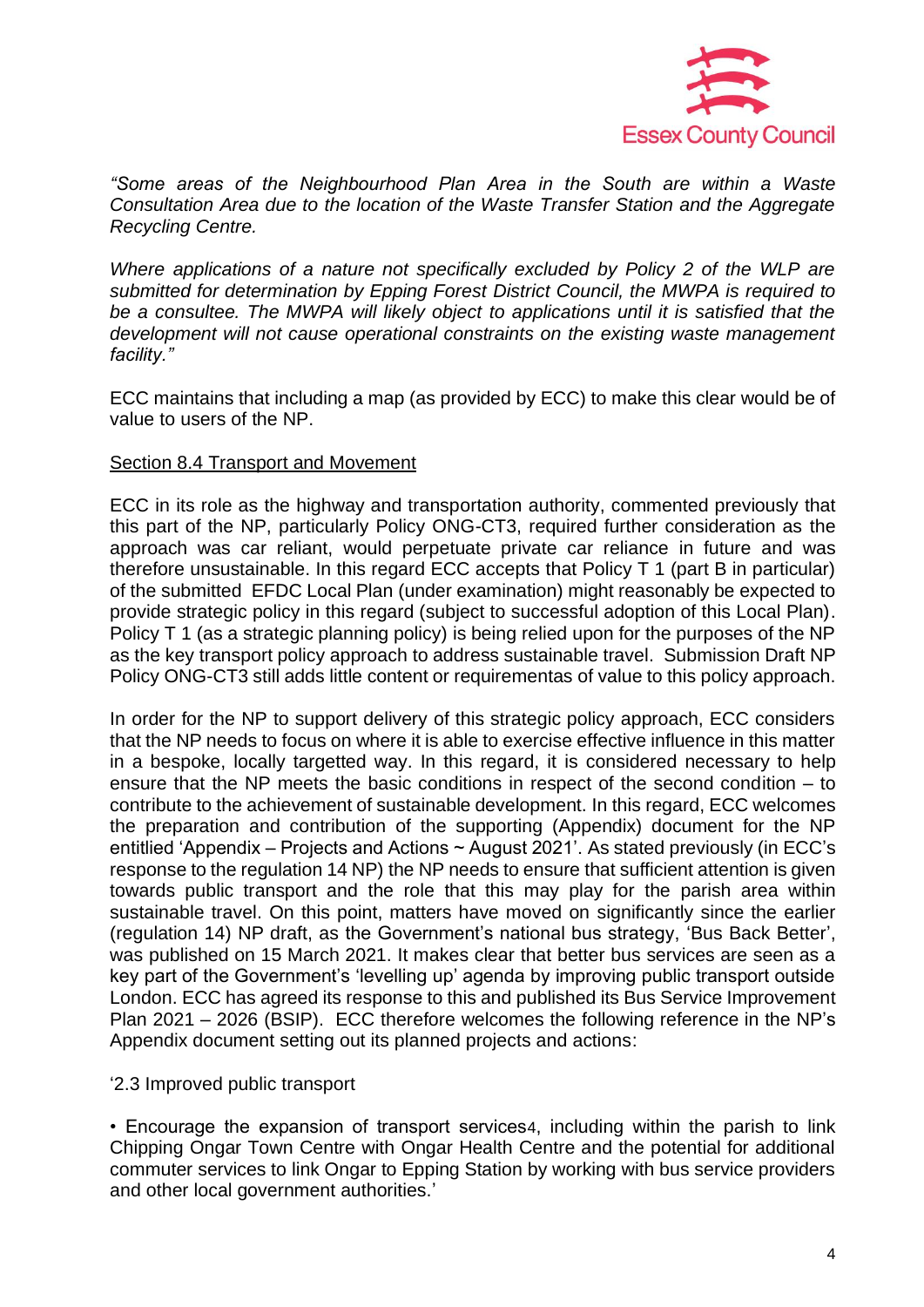

*"Some areas of the Neighbourhood Plan Area in the South are within a Waste Consultation Area due to the location of the Waste Transfer Station and the Aggregate Recycling Centre.* 

*Where applications of a nature not specifically excluded by Policy 2 of the WLP are submitted for determination by Epping Forest District Council, the MWPA is required to be a consultee. The MWPA will likely object to applications until it is satisfied that the development will not cause operational constraints on the existing waste management facility."*

ECC maintains that including a map (as provided by ECC) to make this clear would be of value to users of the NP.

#### Section 8.4 Transport and Movement

ECC in its role as the highway and transportation authority, commented previously that this part of the NP, particularly Policy ONG-CT3, required further consideration as the approach was car reliant, would perpetuate private car reliance in future and was therefore unsustainable. In this regard ECC accepts that Policy T 1 (part B in particular) of the submitted EFDC Local Plan (under examination) might reasonably be expected to provide strategic policy in this regard (subject to successful adoption of this Local Plan). Policy T 1 (as a strategic planning policy) is being relied upon for the purposes of the NP as the key transport policy approach to address sustainable travel. Submission Draft NP Policy ONG-CT3 still adds little content or requirementas of value to this policy approach.

In order for the NP to support delivery of this strategic policy approach, ECC considers that the NP needs to focus on where it is able to exercise effective influence in this matter in a bespoke, locally targetted way. In this regard, it is considered necessary to help ensure that the NP meets the basic conditions in respect of the second condition – to contribute to the achievement of sustainable development. In this regard, ECC welcomes the preparation and contribution of the supporting (Appendix) document for the NP entitlied 'Appendix – Projects and Actions ~ August 2021'. As stated previously (in ECC's response to the regulation 14 NP) the NP needs to ensure that sufficient attention is given towards public transport and the role that this may play for the parish area within sustainable travel. On this point, matters have moved on significantly since the earlier (regulation 14) NP draft, as the Government's national bus strategy, 'Bus Back Better', was published on 15 March 2021. It makes clear that better bus services are seen as a key part of the Government's 'levelling up' agenda by improving public transport outside London. ECC has agreed its response to this and published its Bus Service Improvement Plan 2021 – 2026 (BSIP). ECC therefore welcomes the following reference in the NP's Appendix document setting out its planned projects and actions:

### '2.3 Improved public transport

• Encourage the expansion of transport services4, including within the parish to link Chipping Ongar Town Centre with Ongar Health Centre and the potential for additional commuter services to link Ongar to Epping Station by working with bus service providers and other local government authorities.'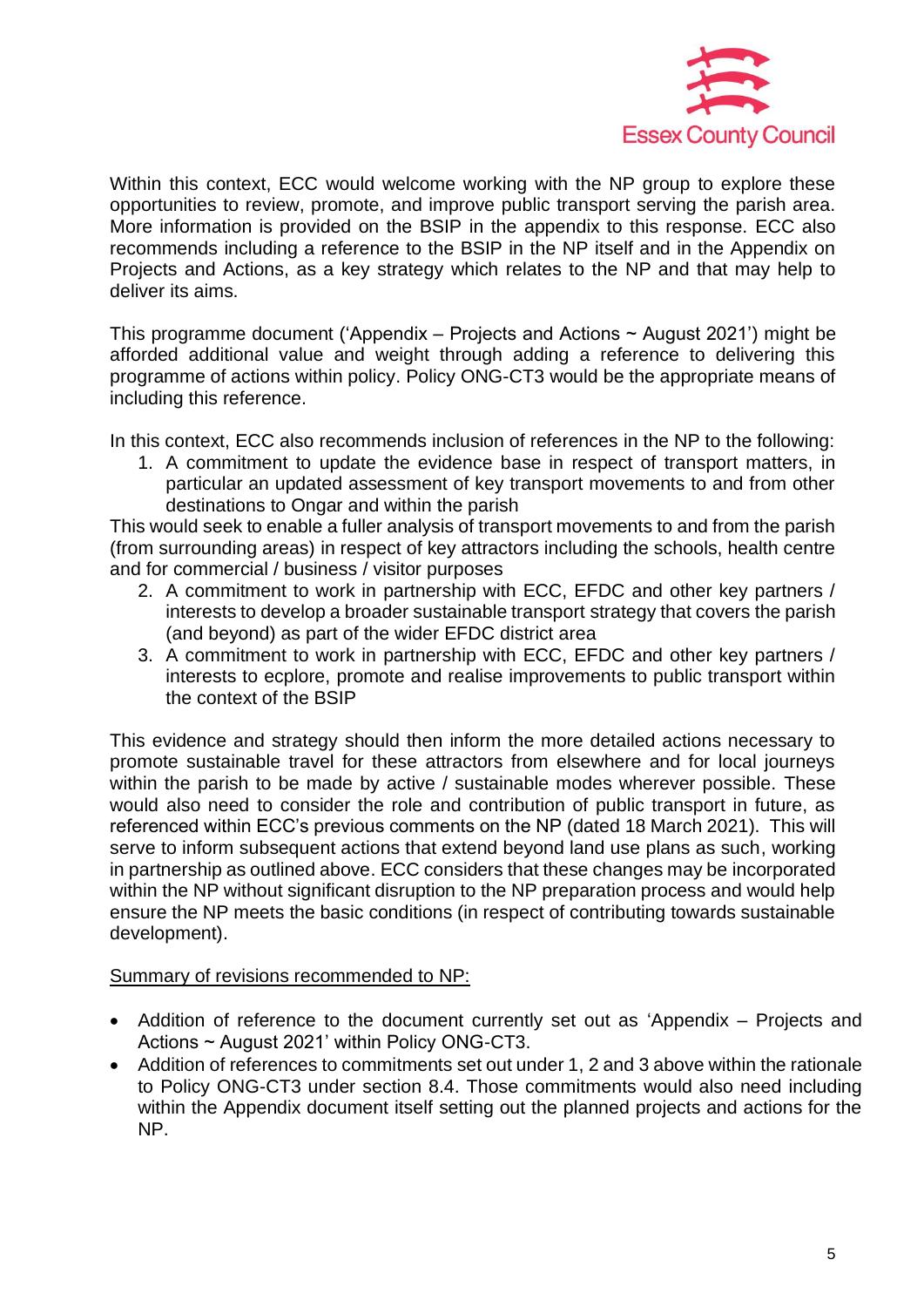

Within this context, ECC would welcome working with the NP group to explore these opportunities to review, promote, and improve public transport serving the parish area. More information is provided on the BSIP in the appendix to this response. ECC also recommends including a reference to the BSIP in the NP itself and in the Appendix on Projects and Actions, as a key strategy which relates to the NP and that may help to deliver its aims.

This programme document ('Appendix – Projects and Actions  $\sim$  August 2021') might be afforded additional value and weight through adding a reference to delivering this programme of actions within policy. Policy ONG-CT3 would be the appropriate means of including this reference.

In this context, ECC also recommends inclusion of references in the NP to the following:

1. A commitment to update the evidence base in respect of transport matters, in particular an updated assessment of key transport movements to and from other destinations to Ongar and within the parish

This would seek to enable a fuller analysis of transport movements to and from the parish (from surrounding areas) in respect of key attractors including the schools, health centre and for commercial / business / visitor purposes

- 2. A commitment to work in partnership with ECC, EFDC and other key partners / interests to develop a broader sustainable transport strategy that covers the parish (and beyond) as part of the wider EFDC district area
- 3. A commitment to work in partnership with ECC, EFDC and other key partners / interests to ecplore, promote and realise improvements to public transport within the context of the BSIP

This evidence and strategy should then inform the more detailed actions necessary to promote sustainable travel for these attractors from elsewhere and for local journeys within the parish to be made by active / sustainable modes wherever possible. These would also need to consider the role and contribution of public transport in future, as referenced within ECC's previous comments on the NP (dated 18 March 2021). This will serve to inform subsequent actions that extend beyond land use plans as such, working in partnership as outlined above. ECC considers that these changes may be incorporated within the NP without significant disruption to the NP preparation process and would help ensure the NP meets the basic conditions (in respect of contributing towards sustainable development).

### Summary of revisions recommended to NP:

- Addition of reference to the document currently set out as 'Appendix Projects and Actions ~ August 2021' within Policy ONG-CT3.
- Addition of references to commitments set out under 1, 2 and 3 above within the rationale to Policy ONG-CT3 under section 8.4. Those commitments would also need including within the Appendix document itself setting out the planned projects and actions for the NP.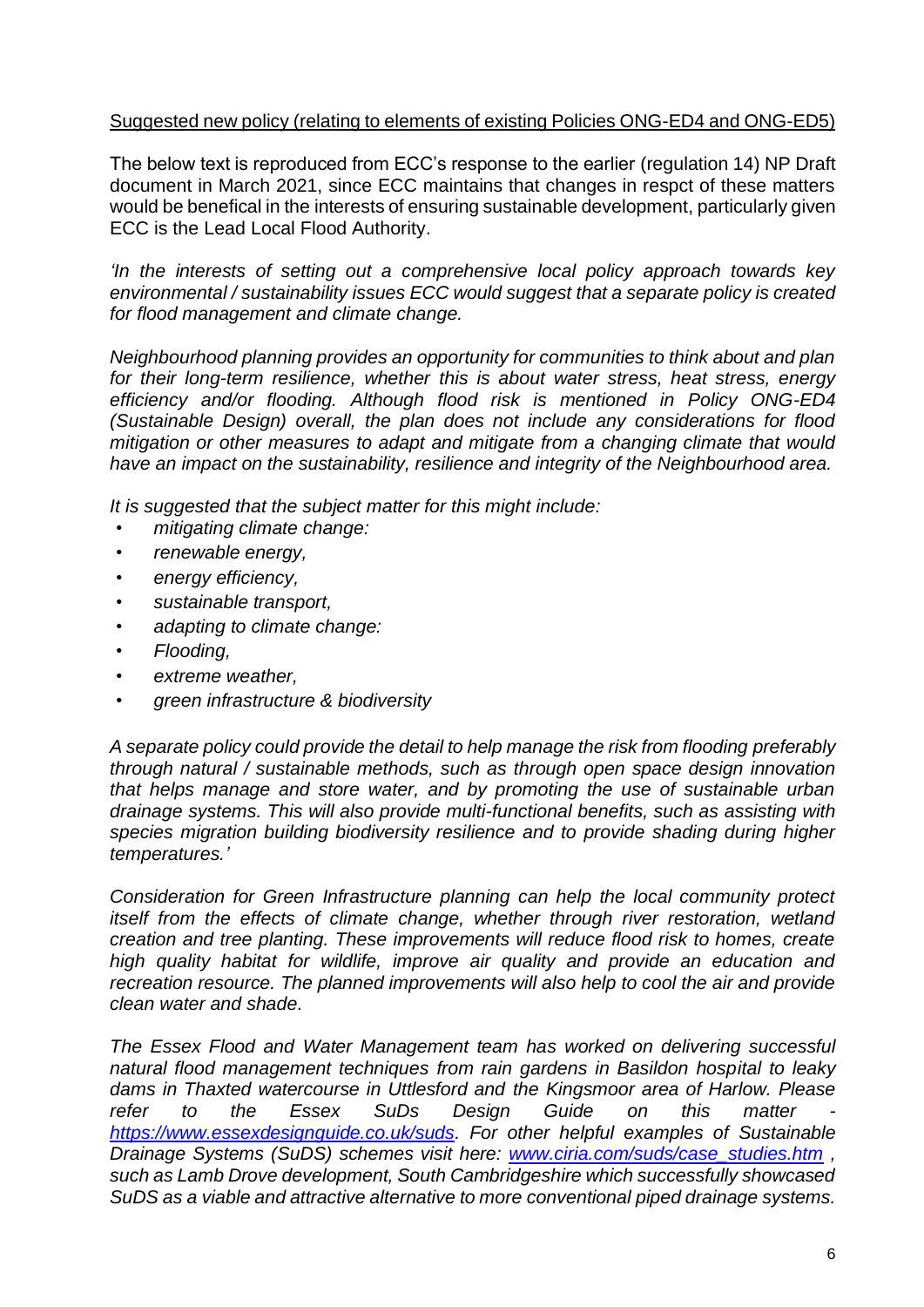### Suggested new policy (relating to elements of existing Policies ONG-ED4 and ONG-ED5)

The below text is reproduced from ECC's response to the earlier (regulation 14) NP Draft document in March 2021, since ECC maintains that changes in respct of these matters would be benefical in the interests of ensuring sustainable development, particularly given ECC is the Lead Local Flood Authority.

*'In the interests of setting out a comprehensive local policy approach towards key environmental / sustainability issues ECC would suggest that a separate policy is created for flood management and climate change.* 

*Neighbourhood planning provides an opportunity for communities to think about and plan for their long-term resilience, whether this is about water stress, heat stress, energy efficiency and/or flooding. Although flood risk is mentioned in Policy ONG-ED4 (Sustainable Design) overall, the plan does not include any considerations for flood mitigation or other measures to adapt and mitigate from a changing climate that would have an impact on the sustainability, resilience and integrity of the Neighbourhood area.*

*It is suggested that the subject matter for this might include:*

- *mitigating climate change:*
- *renewable energy,*
- *energy efficiency,*
- *sustainable transport,*
- *adapting to climate change:*
- *Flooding,*
- *extreme weather,*
- *green infrastructure & biodiversity*

*A separate policy could provide the detail to help manage the risk from flooding preferably through natural / sustainable methods, such as through open space design innovation that helps manage and store water, and by promoting the use of sustainable urban drainage systems. This will also provide multi-functional benefits, such as assisting with species migration building biodiversity resilience and to provide shading during higher temperatures.'*

*Consideration for Green Infrastructure planning can help the local community protect itself from the effects of climate change, whether through river restoration, wetland creation and tree planting. These improvements will reduce flood risk to homes, create high quality habitat for wildlife, improve air quality and provide an education and recreation resource. The planned improvements will also help to cool the air and provide clean water and shade.*

*The Essex Flood and Water Management team has worked on delivering successful natural flood management techniques from rain gardens in Basildon hospital to leaky dams in Thaxted watercourse in Uttlesford and the Kingsmoor area of Harlow. Please refer to the Essex SuDs Design Guide on this matter [https://www.essexdesignguide.co.uk/suds.](https://www.essexdesignguide.co.uk/suds) For other helpful examples of Sustainable Drainage Systems (SuDS) schemes visit here: [www.ciria.com/suds/case\\_studies.htm](http://www.ciria.com/suds/case_studies.htm) , such as Lamb Drove development, South Cambridgeshire which successfully showcased SuDS as a viable and attractive alternative to more conventional piped drainage systems.*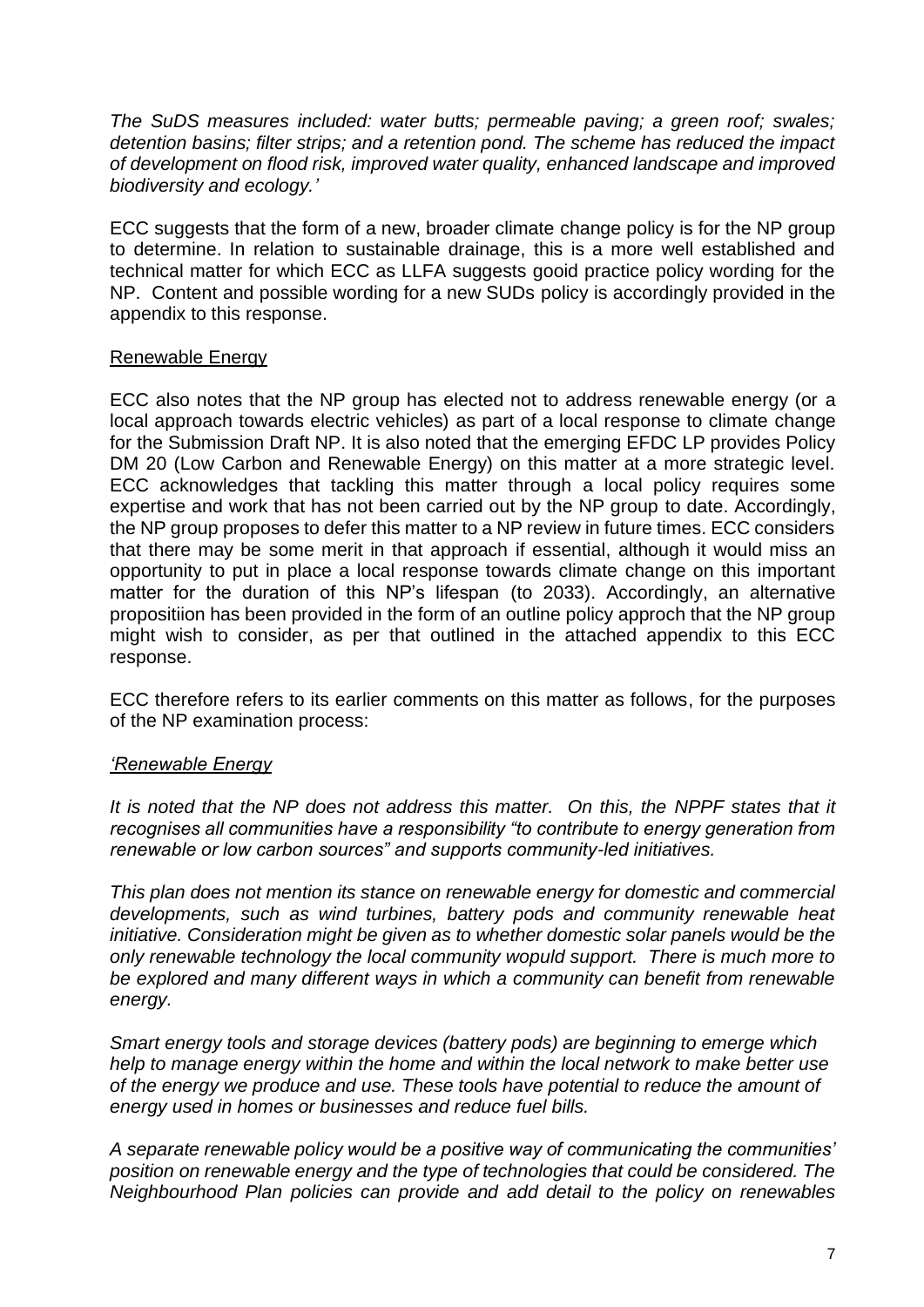*The SuDS measures included: water butts; permeable paving; a green roof; swales; detention basins; filter strips; and a retention pond. The scheme has reduced the impact of development on flood risk, improved water quality, enhanced landscape and improved biodiversity and ecology.'*

ECC suggests that the form of a new, broader climate change policy is for the NP group to determine. In relation to sustainable drainage, this is a more well established and technical matter for which ECC as LLFA suggests gooid practice policy wording for the NP. Content and possible wording for a new SUDs policy is accordingly provided in the appendix to this response.

### Renewable Energy

ECC also notes that the NP group has elected not to address renewable energy (or a local approach towards electric vehicles) as part of a local response to climate change for the Submission Draft NP. It is also noted that the emerging EFDC LP provides Policy DM 20 (Low Carbon and Renewable Energy) on this matter at a more strategic level. ECC acknowledges that tackling this matter through a local policy requires some expertise and work that has not been carried out by the NP group to date. Accordingly, the NP group proposes to defer this matter to a NP review in future times. ECC considers that there may be some merit in that approach if essential, although it would miss an opportunity to put in place a local response towards climate change on this important matter for the duration of this NP's lifespan (to 2033). Accordingly, an alternative propositiion has been provided in the form of an outline policy approch that the NP group might wish to consider, as per that outlined in the attached appendix to this ECC response.

ECC therefore refers to its earlier comments on this matter as follows, for the purposes of the NP examination process:

### *'Renewable Energy*

It is noted that the NP does not address this matter. On this, the NPPF states that it *recognises all communities have a responsibility "to contribute to energy generation from renewable or low carbon sources" and supports community-led initiatives.*

*This plan does not mention its stance on renewable energy for domestic and commercial developments, such as wind turbines, battery pods and community renewable heat initiative. Consideration might be given as to whether domestic solar panels would be the only renewable technology the local community wopuld support. There is much more to be explored and many different ways in which a community can benefit from renewable energy.*

*Smart energy tools and storage devices (battery pods) are beginning to emerge which help to manage energy within the home and within the local network to make better use of the energy we produce and use. These tools have potential to reduce the amount of energy used in homes or businesses and reduce fuel bills.* 

*A separate renewable policy would be a positive way of communicating the communities' position on renewable energy and the type of technologies that could be considered. The Neighbourhood Plan policies can provide and add detail to the policy on renewables*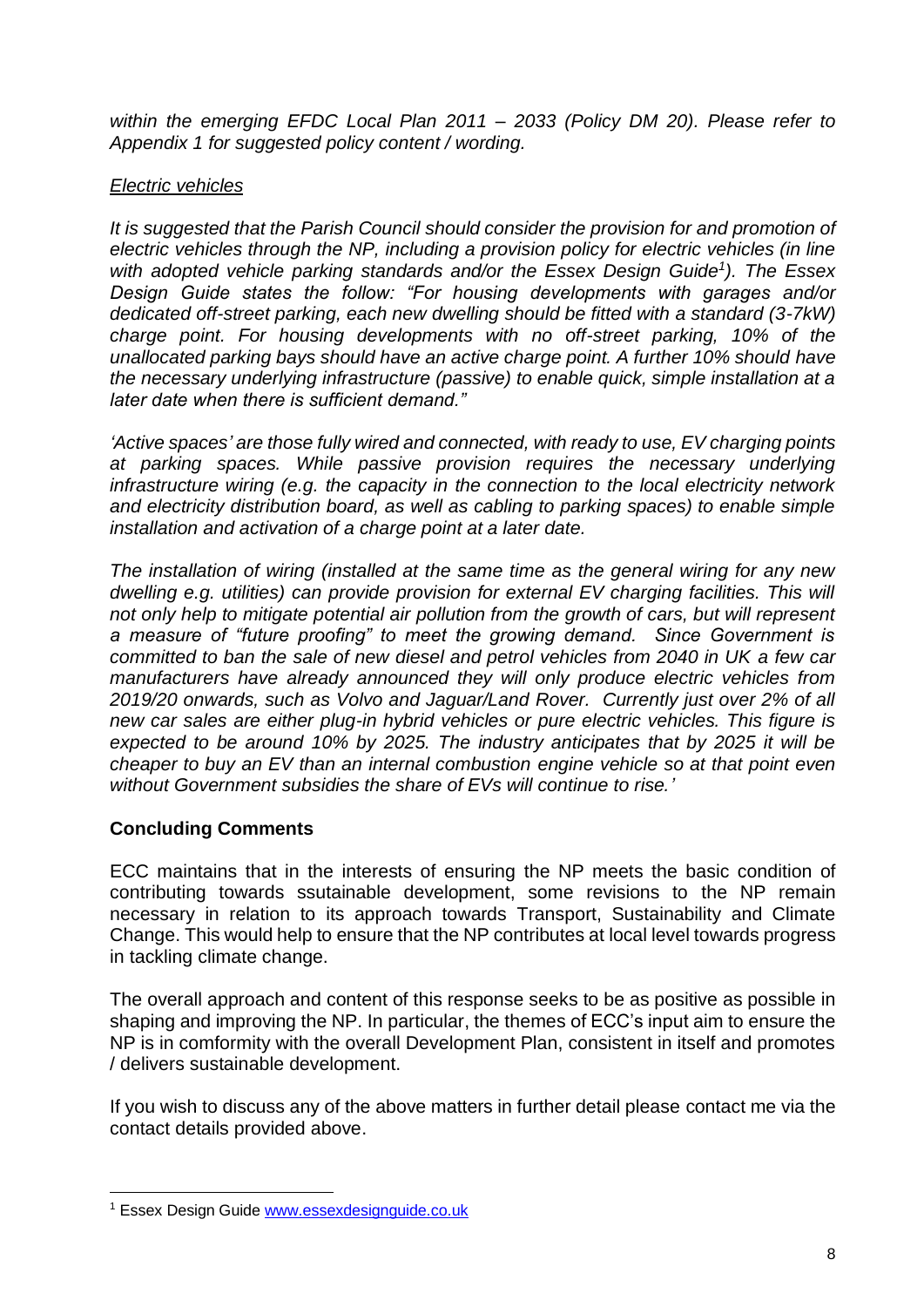*within the emerging EFDC Local Plan 2011 – 2033 (Policy DM 20). Please refer to Appendix 1 for suggested policy content / wording.*

### *Electric vehicles*

*It is suggested that the Parish Council should consider the provision for and promotion of electric vehicles through the NP, including a provision policy for electric vehicles (in line with adopted vehicle parking standards and/or the Essex Design Guide<sup>1</sup> ). The Essex Design Guide states the follow: "For housing developments with garages and/or dedicated off-street parking, each new dwelling should be fitted with a standard (3-7kW) charge point. For housing developments with no off-street parking, 10% of the unallocated parking bays should have an active charge point. A further 10% should have the necessary underlying infrastructure (passive) to enable quick, simple installation at a later date when there is sufficient demand."*

*'Active spaces' are those fully wired and connected, with ready to use, EV charging points*  at parking spaces. While passive provision requires the necessary underlying *infrastructure wiring (e.g. the capacity in the connection to the local electricity network and electricity distribution board, as well as cabling to parking spaces) to enable simple installation and activation of a charge point at a later date.*

*The installation of wiring (installed at the same time as the general wiring for any new dwelling e.g. utilities) can provide provision for external EV charging facilities. This will not only help to mitigate potential air pollution from the growth of cars, but will represent a measure of "future proofing" to meet the growing demand. Since Government is committed to ban the sale of new diesel and petrol vehicles from 2040 in UK a few car manufacturers have already announced they will only produce electric vehicles from 2019/20 onwards, such as Volvo and Jaguar/Land Rover. Currently just over 2% of all new car sales are either plug-in hybrid vehicles or pure electric vehicles. This figure is expected to be around 10% by 2025. The industry anticipates that by 2025 it will be cheaper to buy an EV than an internal combustion engine vehicle so at that point even without Government subsidies the share of EVs will continue to rise.'*

### **Concluding Comments**

ECC maintains that in the interests of ensuring the NP meets the basic condition of contributing towards ssutainable development, some revisions to the NP remain necessary in relation to its approach towards Transport, Sustainability and Climate Change. This would help to ensure that the NP contributes at local level towards progress in tackling climate change.

The overall approach and content of this response seeks to be as positive as possible in shaping and improving the NP. In particular, the themes of ECC's input aim to ensure the NP is in comformity with the overall Development Plan, consistent in itself and promotes / delivers sustainable development.

If you wish to discuss any of the above matters in further detail please contact me via the contact details provided above.

<sup>&</sup>lt;sup>1</sup> Essex Design Guide [www.essexdesignguide.co.uk](http://www.essexdesignguide.co.uk/)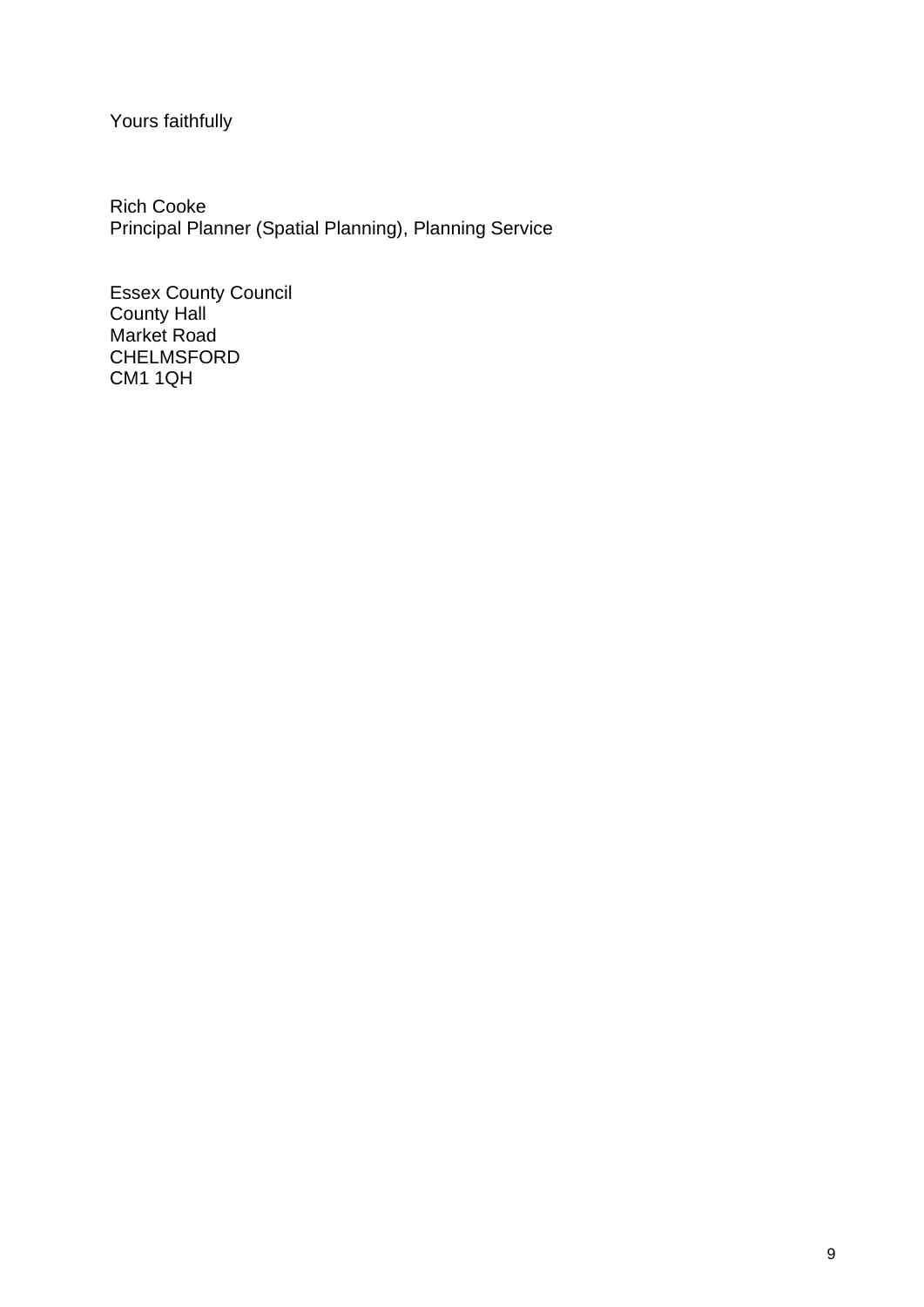# Yours faithfully

Rich Cooke Principal Planner (Spatial Planning), Planning Service

Essex County Council County Hall Market Road CHELMSFORD CM1 1QH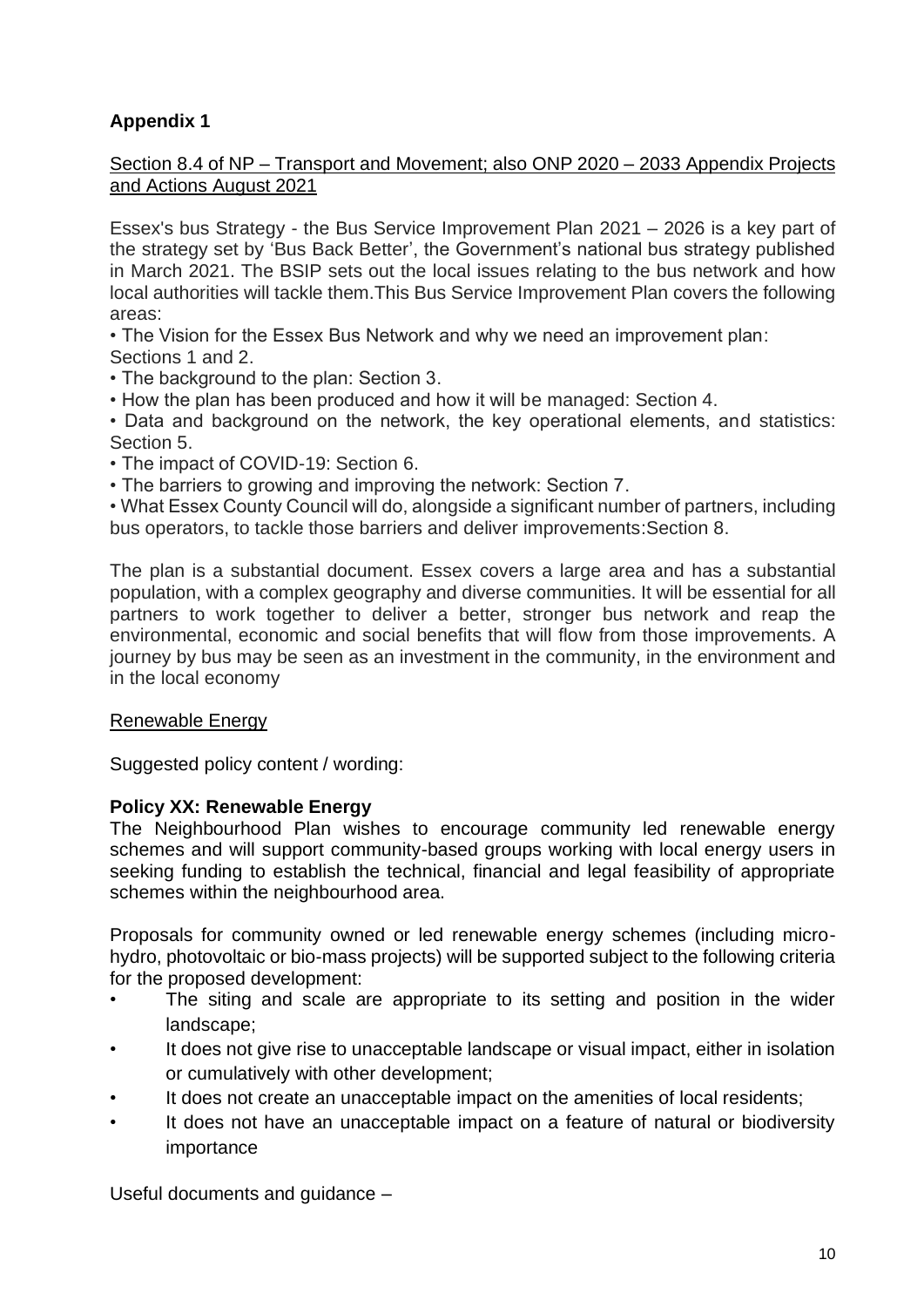# **Appendix 1**

### Section 8.4 of NP – Transport and Movement; also ONP 2020 – 2033 Appendix Projects and Actions August 2021

Essex's bus Strategy - the Bus Service Improvement Plan 2021 – 2026 is a key part of the strategy set by 'Bus Back Better', the Government's national bus strategy published in March 2021. The BSIP sets out the local issues relating to the bus network and how local authorities will tackle them.This Bus Service Improvement Plan covers the following areas:

• The Vision for the Essex Bus Network and why we need an improvement plan: Sections 1 and 2.

- The background to the plan: Section 3.
- How the plan has been produced and how it will be managed: Section 4.
- Data and background on the network, the key operational elements, and statistics: Section 5.
- The impact of COVID-19: Section 6.
- The barriers to growing and improving the network: Section 7.

• What Essex County Council will do, alongside a significant number of partners, including bus operators, to tackle those barriers and deliver improvements:Section 8.

The plan is a substantial document. Essex covers a large area and has a substantial population, with a complex geography and diverse communities. It will be essential for all partners to work together to deliver a better, stronger bus network and reap the environmental, economic and social benefits that will flow from those improvements. A journey by bus may be seen as an investment in the community, in the environment and in the local economy

### Renewable Energy

Suggested policy content / wording:

### **Policy XX: Renewable Energy**

The Neighbourhood Plan wishes to encourage community led renewable energy schemes and will support community-based groups working with local energy users in seeking funding to establish the technical, financial and legal feasibility of appropriate schemes within the neighbourhood area.

Proposals for community owned or led renewable energy schemes (including microhydro, photovoltaic or bio-mass projects) will be supported subject to the following criteria for the proposed development:

- The siting and scale are appropriate to its setting and position in the wider landscape;
- It does not give rise to unacceptable landscape or visual impact, either in isolation or cumulatively with other development;
- It does not create an unacceptable impact on the amenities of local residents;
- It does not have an unacceptable impact on a feature of natural or biodiversity importance

Useful documents and guidance –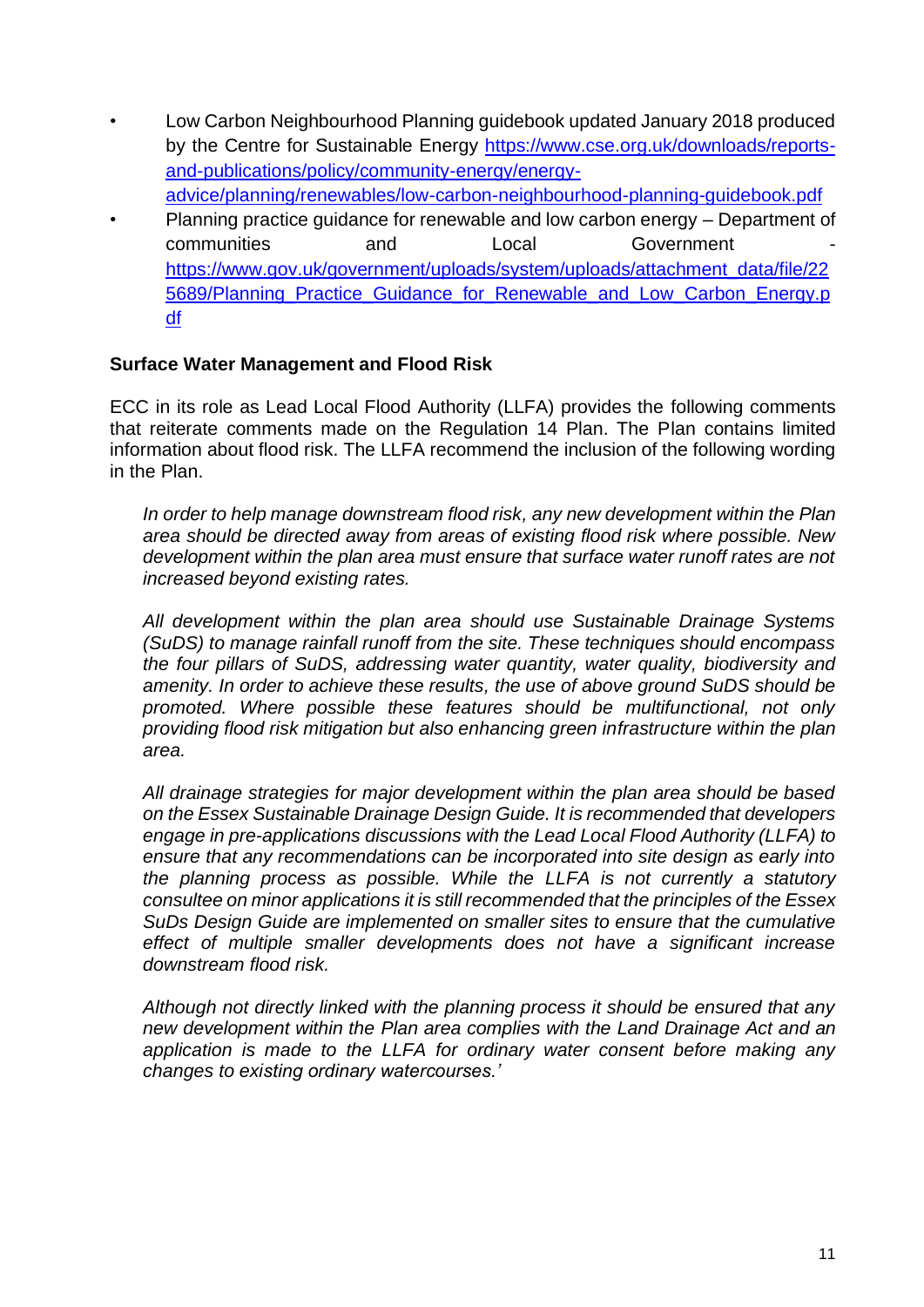- Low Carbon Neighbourhood Planning guidebook updated January 2018 produced by the Centre for Sustainable Energy [https://www.cse.org.uk/downloads/reports](https://www.cse.org.uk/downloads/reports-and-publications/policy/community-energy/energy-advice/planning/renewables/low-carbon-neighbourhood-planning-guidebook.pdf)[and-publications/policy/community-energy/energy](https://www.cse.org.uk/downloads/reports-and-publications/policy/community-energy/energy-advice/planning/renewables/low-carbon-neighbourhood-planning-guidebook.pdf)[advice/planning/renewables/low-carbon-neighbourhood-planning-guidebook.pdf](https://www.cse.org.uk/downloads/reports-and-publications/policy/community-energy/energy-advice/planning/renewables/low-carbon-neighbourhood-planning-guidebook.pdf)
- Planning practice guidance for renewable and low carbon energy Department of communities and Local Government [https://www.gov.uk/government/uploads/system/uploads/attachment\\_data/file/22](https://www.gov.uk/government/uploads/system/uploads/attachment_data/file/225689/Planning_Practice_Guidance_for_Renewable_and_Low_Carbon_Energy.pdf) 5689/Planning Practice Guidance for Renewable and Low Carbon Energy.p [df](https://www.gov.uk/government/uploads/system/uploads/attachment_data/file/225689/Planning_Practice_Guidance_for_Renewable_and_Low_Carbon_Energy.pdf)

### **Surface Water Management and Flood Risk**

ECC in its role as Lead Local Flood Authority (LLFA) provides the following comments that reiterate comments made on the Regulation 14 Plan. The Plan contains limited information about flood risk. The LLFA recommend the inclusion of the following wording in the Plan.

*In order to help manage downstream flood risk, any new development within the Plan area should be directed away from areas of existing flood risk where possible. New development within the plan area must ensure that surface water runoff rates are not increased beyond existing rates.* 

*All development within the plan area should use Sustainable Drainage Systems (SuDS) to manage rainfall runoff from the site. These techniques should encompass the four pillars of SuDS, addressing water quantity, water quality, biodiversity and amenity. In order to achieve these results, the use of above ground SuDS should be promoted. Where possible these features should be multifunctional, not only providing flood risk mitigation but also enhancing green infrastructure within the plan area.*

*All drainage strategies for major development within the plan area should be based on the Essex Sustainable Drainage Design Guide. It is recommended that developers engage in pre-applications discussions with the Lead Local Flood Authority (LLFA) to ensure that any recommendations can be incorporated into site design as early into the planning process as possible. While the LLFA is not currently a statutory consultee on minor applications it is still recommended that the principles of the Essex SuDs Design Guide are implemented on smaller sites to ensure that the cumulative effect of multiple smaller developments does not have a significant increase downstream flood risk.*

*Although not directly linked with the planning process it should be ensured that any new development within the Plan area complies with the Land Drainage Act and an application is made to the LLFA for ordinary water consent before making any changes to existing ordinary watercourses.'*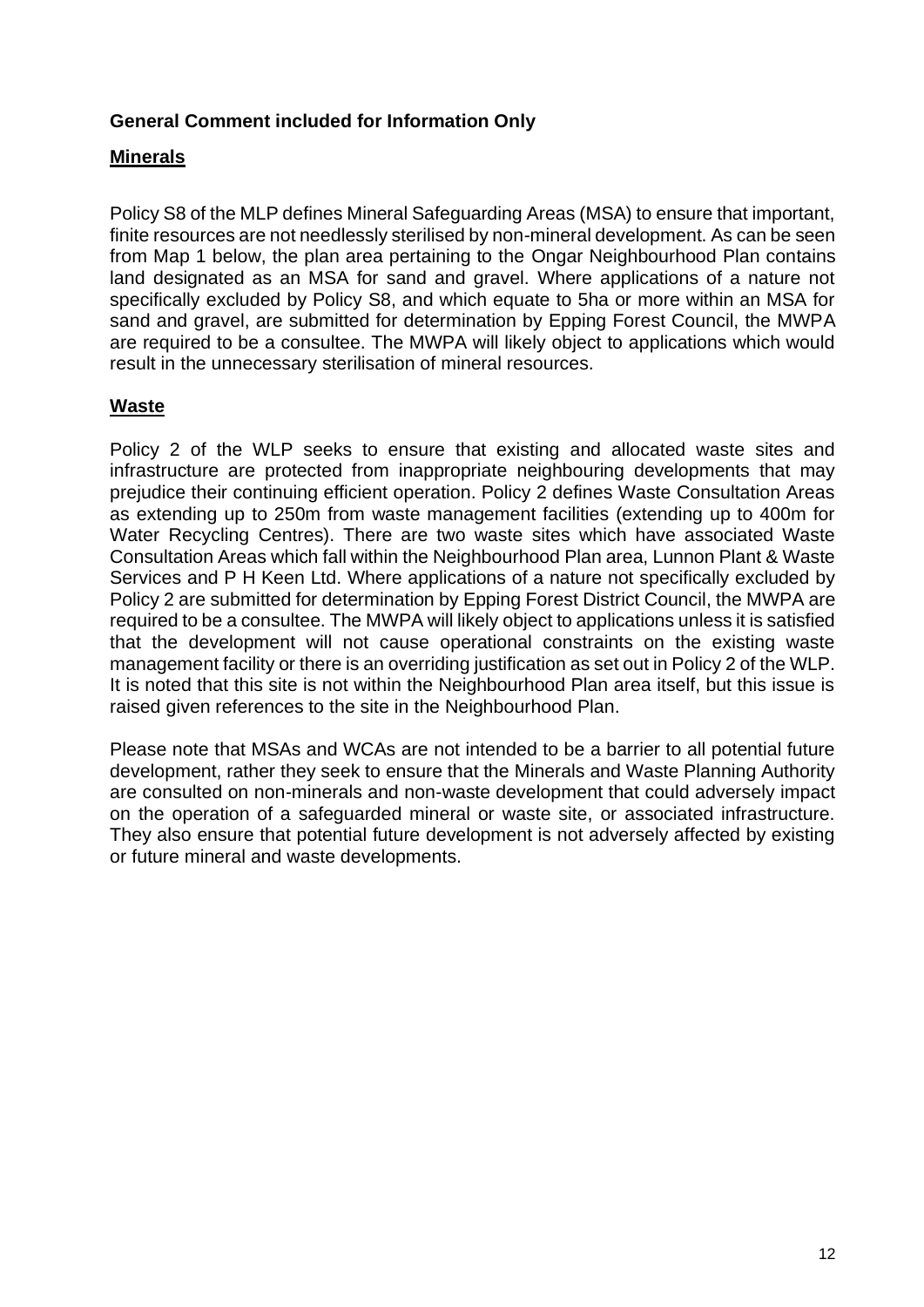### **General Comment included for Information Only**

## **Minerals**

Policy S8 of the MLP defines Mineral Safeguarding Areas (MSA) to ensure that important, finite resources are not needlessly sterilised by non-mineral development. As can be seen from Map 1 below, the plan area pertaining to the Ongar Neighbourhood Plan contains land designated as an MSA for sand and gravel. Where applications of a nature not specifically excluded by Policy S8, and which equate to 5ha or more within an MSA for sand and gravel, are submitted for determination by Epping Forest Council, the MWPA are required to be a consultee. The MWPA will likely object to applications which would result in the unnecessary sterilisation of mineral resources.

## **Waste**

Policy 2 of the WLP seeks to ensure that existing and allocated waste sites and infrastructure are protected from inappropriate neighbouring developments that may prejudice their continuing efficient operation. Policy 2 defines Waste Consultation Areas as extending up to 250m from waste management facilities (extending up to 400m for Water Recycling Centres). There are two waste sites which have associated Waste Consultation Areas which fall within the Neighbourhood Plan area, Lunnon Plant & Waste Services and P H Keen Ltd. Where applications of a nature not specifically excluded by Policy 2 are submitted for determination by Epping Forest District Council, the MWPA are required to be a consultee. The MWPA will likely object to applications unless it is satisfied that the development will not cause operational constraints on the existing waste management facility or there is an overriding justification as set out in Policy 2 of the WLP. It is noted that this site is not within the Neighbourhood Plan area itself, but this issue is raised given references to the site in the Neighbourhood Plan.

Please note that MSAs and WCAs are not intended to be a barrier to all potential future development, rather they seek to ensure that the Minerals and Waste Planning Authority are consulted on non-minerals and non-waste development that could adversely impact on the operation of a safeguarded mineral or waste site, or associated infrastructure. They also ensure that potential future development is not adversely affected by existing or future mineral and waste developments.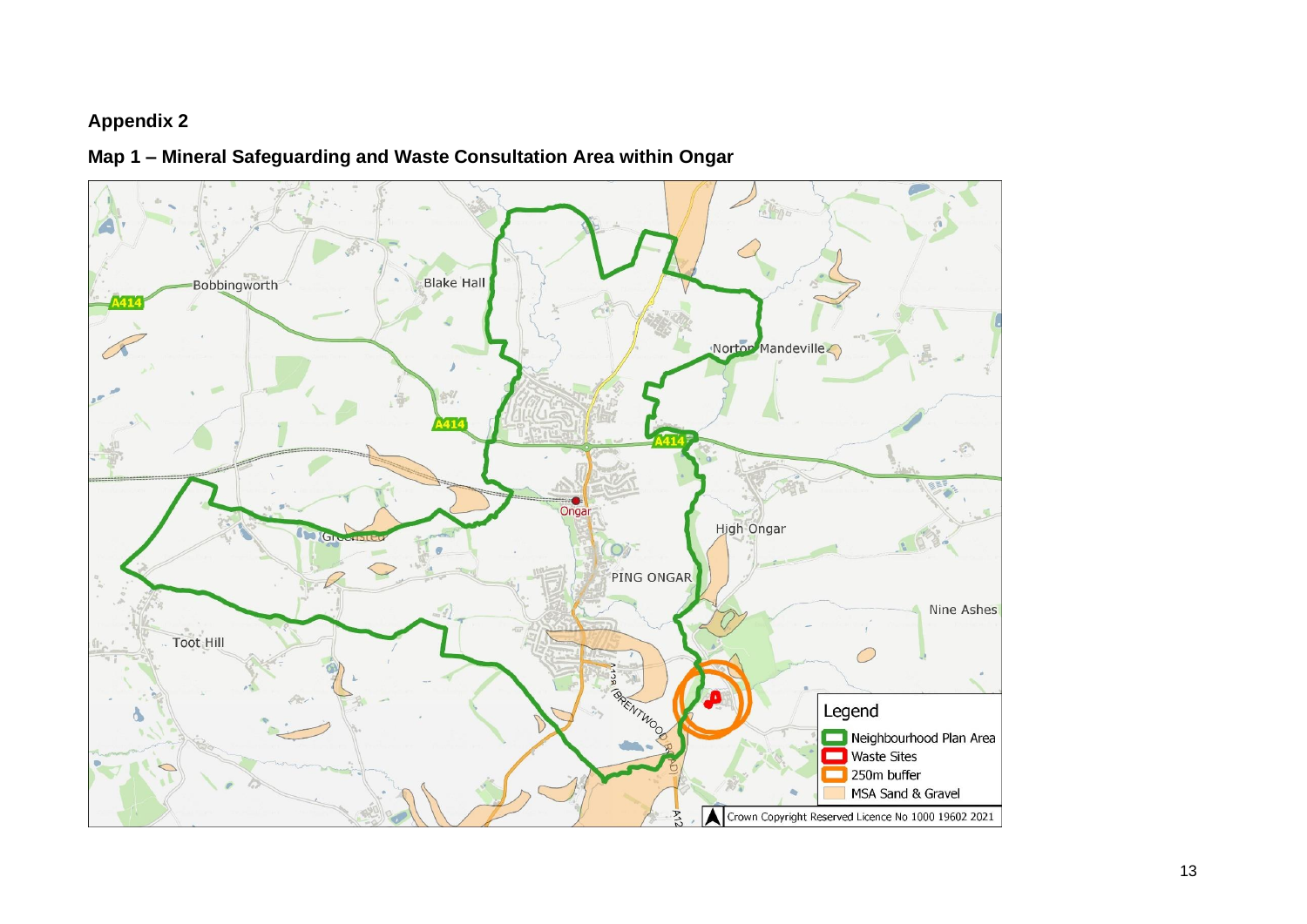### **Appendix 2**

**Map 1 – Mineral Safeguarding and Waste Consultation Area within Ongar**